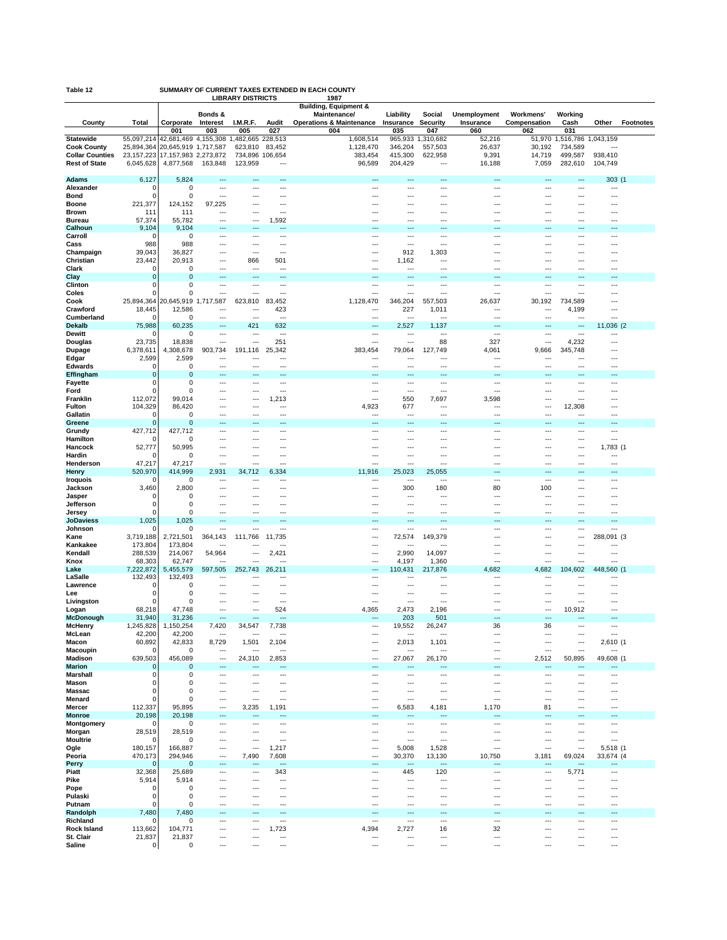| Table 12 | SUMMARY OF CURRENT TAXES EXTENDED IN EACH COUNTY |      |  |  |  |  |  |  |
|----------|--------------------------------------------------|------|--|--|--|--|--|--|
|          | <b>LIBRARY DISTRICTS</b>                         | 1987 |  |  |  |  |  |  |

|                                        |                          | LIDRAR I DIƏTRICTƏ                           |                                    | 190<br><b>Building, Equipment &amp;</b> |               |                                     |                                                      |                       |                     |                  |                          |                  |                  |
|----------------------------------------|--------------------------|----------------------------------------------|------------------------------------|-----------------------------------------|---------------|-------------------------------------|------------------------------------------------------|-----------------------|---------------------|------------------|--------------------------|------------------|------------------|
|                                        |                          |                                              | Bonds &                            |                                         |               | Maintenance/                        | Liability                                            | Social                | <b>Unemployment</b> | Workmens'        | Working                  |                  |                  |
| County                                 | Total                    | Corporate                                    | Interest                           | I.M.R.F.                                | Audit         | <b>Operations &amp; Maintenance</b> | Insurance                                            | Security              | Insurance           | Compensation     | Cash                     | Other            | <b>Footnotes</b> |
|                                        |                          | 001                                          | 003                                | 005                                     | 027           | 004                                 | 035                                                  | 047                   | 060                 | 062              | 031                      |                  |                  |
| <b>Statewide</b><br><b>Cook County</b> | 55,097,214<br>25,894,364 | 42,681,469 4,155,308<br>20,645,919 1,717,587 |                                    | ,482,665 228,513<br>-1<br>623,810       | 83,452        | 1,608,514<br>1,128,470              | 965,933<br>346,204                                   | 1,310,682<br>557,503  | 52,216<br>26,637    | 51,970<br>30,192 | 1,516,786<br>734,589     | 1,043,159        |                  |
| <b>Collar Counties</b>                 | 23, 157, 223             | 17, 157, 983 2, 273, 872                     |                                    | 734,896                                 | 106,654       | 383,454                             | 415,300                                              | 622,958               | 9,391               | 14,719           | 499,587                  | 938,410          |                  |
| <b>Rest of State</b>                   | 6,045,628                | 4,877,568                                    | 163,848                            | 123,959                                 | ---           | 96,589                              | 204,429                                              | ---                   | 16,188              | 7,059            | 282,610                  | 104,749          |                  |
|                                        |                          |                                              |                                    |                                         |               |                                     |                                                      |                       |                     |                  |                          |                  |                  |
| Adams                                  | 6,127                    | 5,824                                        |                                    |                                         | ÷.,           | ---                                 |                                                      | …                     | ---                 | ---              | ---                      | $303$ (          |                  |
| Alexander                              | $\Omega$                 | $\mathbf 0$                                  | ---                                | $---$                                   | ---           | $---$                               | $\overline{\phantom{a}}$                             | ---                   | ---                 | ---              | $---$                    | ---              |                  |
| Bond<br><b>Boone</b>                   | 0<br>221,377             | 0<br>124,152                                 | $\overline{\phantom{a}}$<br>97,225 | ---<br>---                              | ---<br>---    | $\overline{a}$<br>---               | $\sim$<br>---                                        | ---<br>---            |                     | --<br>---        | ---<br>$--$              | ---              |                  |
| <b>Brown</b>                           | 111                      | 111                                          | ---                                | ---                                     | ---           |                                     | ---                                                  | ---                   | ---                 | ---              | ---                      |                  |                  |
| <b>Bureau</b>                          | 57,374                   | 55,782                                       | $\overline{\phantom{a}}$           | $\overline{a}$                          | 1,592         | $\cdots$                            | $\overline{\phantom{a}}$                             | ---                   | ---                 | ---              | $---$                    | $\overline{a}$   |                  |
| Calhoun                                | 9,104                    | 9,104                                        |                                    |                                         |               |                                     |                                                      |                       |                     |                  |                          |                  |                  |
| Carroll                                | n                        | 0                                            | $\overline{\phantom{a}}$           | $\overline{a}$                          | ---           | $\overline{a}$                      | $\overline{\phantom{a}}$                             | ---                   | ---                 | ---              | $---$                    | ٠.,              |                  |
| Cass                                   | 988                      | 988                                          | ---                                | ---                                     | ---           | $---$                               | $\overline{\phantom{a}}$                             | ---                   | ---                 | ---              | $---$                    | ---              |                  |
| Champaign<br>Christian                 | 39,043                   | 36,827<br>20,913                             | …<br>---                           | ---<br>866                              | $\sim$<br>501 | ---<br>---                          | 912<br>1,162                                         | 1,303<br>---          |                     | ---              | $--$                     |                  |                  |
| Clark                                  | 23,442<br>0              | 0                                            | …                                  | $\sim$                                  | ---           |                                     | $\sim$                                               | ---                   |                     |                  | ---                      |                  |                  |
| Clay                                   | $\mathbf 0$              | $\bf 0$                                      | ---                                | ---                                     | ---           | $---$                               | ---                                                  | ÷.,                   | ---                 | ---              | $\overline{a}$           | $\overline{a}$   |                  |
| Clinton                                | 0                        | 0                                            | ---                                | ---                                     | ---           | ---                                 | ---                                                  |                       | ---                 | ---              | ---                      |                  |                  |
| Coles                                  | O                        | $\Omega$                                     | ---                                | ---                                     | ---           | $\sim$                              | ---                                                  | ---                   | ---                 | ---              | $\overline{a}$           | $\overline{a}$   |                  |
| Cook                                   | 25,894,364               | 20,645,919 1,717,587                         |                                    | 623,810                                 | 83,452        | 1,128,470                           | 346,204                                              | 557,503               | 26,637              | 30,192           | 734,589                  |                  |                  |
| Crawford                               | 18,445<br>O              | 12,586<br>$\Omega$                           | ---                                | ---                                     | 423           | $---$                               | 227                                                  | 1,011                 | ---                 | ---              | 4,199                    | ---              |                  |
| Cumberland<br><b>Dekalb</b>            | 75,988                   | 60,235                                       | ---                                | ---<br>421                              | ---<br>632    | $---$                               | 2,527                                                | 1,137                 | ---                 | ---              | ---<br>---               | 11,036 (2        |                  |
| <b>Dewitt</b>                          | 0                        | $\Omega$                                     | ---                                | ---                                     | ---           | $---$                               | $\sim$                                               | $---$                 | $---$               | ---              | $---$                    | ---              |                  |
| Douglas                                | 23,735                   | 18,838                                       | ---                                | $\sim$                                  | 251           | ---                                 | $\sim$                                               | 88                    | 327                 | ---              | 4,232                    | $\overline{a}$   |                  |
| Dupage                                 | 6,378,611                | 4,308,678                                    | 903,734                            | 191,116                                 | 25,342        | 383,454                             | 79,064                                               | 127,749               | 4,061               | 9,666            | 345,748                  | …                |                  |
| Edgar                                  | 2,599                    | 2,599                                        | ---                                | ---                                     | ---           | ---                                 | ---                                                  | ---                   | ---                 | ---              | ---                      |                  |                  |
| <b>Edwards</b><br>Effingham            | $\Omega$<br>0            | 0<br>0                                       | ---                                | $\overline{a}$                          | ---           | $\overline{a}$                      | ---                                                  | ---                   | ---                 | ---              | $\sim$                   | ---              |                  |
| Fayette                                | 0                        | 0                                            | ---                                | ---                                     | ---           | ---                                 | ---                                                  | ---                   | ---                 | ---              | ---                      |                  |                  |
| Ford                                   | $\Omega$                 | $\Omega$                                     | ---                                | $---$                                   | ---           | ---                                 | ---                                                  | ---                   | ---                 | ---              | $---$                    |                  |                  |
| Franklin                               | 112,072                  | 99,014                                       | ---                                | $\sim$                                  | 1,213         | $\overline{a}$                      | 550                                                  | 7,697                 | 3,598               | ---              | $\sim$                   |                  |                  |
| Fulton                                 | 104,329                  | 86,420                                       | $\overline{\phantom{a}}$           | ---                                     |               | 4,923                               | 677                                                  | ---                   |                     | ---              | 12,308                   |                  |                  |
| Gallatin<br>Greene                     | 0<br>$\Omega$            | 0<br>$\mathbf 0$                             | <br>…                              | ---<br>$\overline{\phantom{a}}$         | ---<br>---    | ---<br>---                          | ---<br>$\overline{\phantom{a}}$                      | ---<br>---            | ---<br>---          | <br>---          | ---<br>$\overline{a}$    | ---              |                  |
| Grundy                                 | 427,712                  | 427.712                                      | ---                                | ---                                     | ---           | ---                                 | ---                                                  | ---                   | ---                 | ---              | ---                      | ٠.,              |                  |
| Hamilton                               | n                        | 0                                            | ---                                | ---                                     | ---           | ---                                 | $\overline{\phantom{a}}$                             | ---                   | ---                 | ---              | $\sim$                   | ٠.,              |                  |
| Hancock                                | 52,777                   | 50,995                                       | ---                                | ---                                     | ---           | $---$                               | $\overline{\phantom{a}}$                             | ---                   | ---                 | ---              | $---$                    | 1,783 (1         |                  |
| Hardin                                 |                          | 0                                            | $\overline{\phantom{a}}$<br>---    | $\sim$<br>---                           | $\sim$<br>--- | $\sim$<br>---                       | $\sim$<br>$\overline{\phantom{a}}$                   | $\overline{a}$<br>--- |                     | ---              | $\sim$                   |                  |                  |
| Henderson<br>Henry                     | 47,217<br>520,970        | 47,217<br>414,999                            | 2,931                              | 34,712                                  | 6,334         | 11,916                              | 25,023                                               | 25,055                | ---                 | ---              | $--$                     | ---              |                  |
| Iroquois                               | n                        | $\Omega$                                     | $\overline{\phantom{a}}$           | $---$                                   | ---           | $---$                               | $\overline{\phantom{a}}$                             | ---                   | ---                 | ---              | $---$                    | ---              |                  |
| Jackson                                | 3,460                    | 2,800                                        | ⊷                                  | ---                                     |               | ---                                 | 300                                                  | 180                   | 80                  | 100              | ---                      |                  |                  |
| Jasper                                 | 0                        | 0                                            | ---                                | ---                                     | ---           | ---                                 | $\overline{\phantom{a}}$                             | ---                   | ---                 | ---              | ---                      | ---              |                  |
| Jefferson                              | 0<br>O                   | 0<br>0                                       | <br>$\overline{\phantom{a}}$       | ---<br>$\overline{\phantom{a}}$         | ---<br>---    | ---                                 | ---<br>$\overline{\phantom{a}}$                      | <br>---               | ---                 | <br>---          | $---$                    | ---              |                  |
| Jersey<br><b>JoDaviess</b>             | 1,025                    | 1,025                                        | ---                                | ---                                     | ÷.,           | ---                                 | ---                                                  | ÷.,                   |                     | ٠.,              | ---                      |                  |                  |
| Johnson                                |                          | 0                                            | …                                  | ---                                     | $\sim$        | ---                                 | ---                                                  | ---                   |                     | ---              | ---                      | ---              |                  |
| Kane                                   | 3,719,188                | 2,721,501                                    | 364,143                            | 111,766                                 | 11,735        | ---                                 | 72,574                                               | 149,379               | ---                 | ---              | ---                      | 288,091 (3       |                  |
| Kankakee                               | 173,804                  | 173,804                                      |                                    |                                         |               | ---                                 |                                                      |                       |                     | ---              | $\overline{a}$           |                  |                  |
| Kendall<br>Knox                        | 288,539<br>68,303        | 214,067<br>62,747                            | 54,964                             | ---<br>---                              | 2,421         | ---<br>$\sim$                       | 2,990<br>4,197                                       | 14,097<br>1,360       | ---                 | ---<br>          | $\sim$<br>$\sim$         | ٠.,<br>          |                  |
| Lake                                   | 7,222,872                | 5,455,579                                    | 597,505                            | 252,743                                 | 26,211        | ---                                 | 110,431                                              | 217,876               | 4,682               | 4,682            | 104,602                  | 448,560 (        |                  |
| LaSalle                                | 132,493                  | 132,493                                      |                                    | ---                                     |               | ---                                 |                                                      |                       |                     |                  |                          |                  |                  |
| Lawrence                               | C                        | 0                                            | ⊷                                  |                                         | ---           | ---                                 | ---                                                  | ---                   |                     | --               | $\overline{a}$           |                  |                  |
| Lee<br>Livingston                      | 0<br>0                   | $\Omega$<br>0                                | ---<br>⊷                           | ---<br>---                              | ---<br>---    | ---<br>---                          | $\overline{\phantom{a}}$<br>---                      | ---<br>---            | ---                 | ---<br>---       | ---<br>---               | ---              |                  |
| Logan                                  | 68,218                   | 47,748                                       | ---                                | ---                                     | 524           | 4,365                               | 2,473                                                | 2,196                 |                     | ---              | 10,912                   |                  |                  |
| McDonough                              | 31,940                   | 31,236                                       | ---                                | ---                                     |               | ---                                 | 203                                                  | 501                   |                     |                  |                          |                  |                  |
| <b>McHenry</b>                         | 1,245,828                | 1,150,254                                    | 7,420                              | 34,547                                  | 7,738         | $\overline{a}$                      | 19,552                                               | 26,247                | 36                  | 36               | $---$                    | ---              |                  |
| McLean                                 | 42,200                   | 42,200                                       | ---                                |                                         |               |                                     |                                                      |                       |                     | ---              |                          |                  |                  |
| Macon<br>Macoupin                      | 60,892<br>$\Omega$       | 42,833<br>0                                  | 8,729<br>$\overline{\phantom{a}}$  | 1,501<br>$---$                          | 2,104<br>---  | $\cdots$<br>$\cdots$                | 2,013<br>$\overline{\phantom{a}}$                    | 1,101<br>---          | ---<br>---          | ---<br>---       | $\cdots$<br>$---$        | 2,610 (1<br>---  |                  |
| <b>Madison</b>                         | 639,503                  | 456,089                                      | $\hspace{0.05cm} \cdots$           | 24,310                                  | 2,853         | ---                                 | 27,067                                               | 26,170                | ---                 | 2,512            | 50,895                   | 49,608 (1        |                  |
| <b>Marion</b>                          | $\Omega$                 | 0                                            |                                    |                                         | ---           | ---                                 |                                                      | ---                   | ---                 | ---              | ---                      | ---              |                  |
| <b>Marshall</b>                        | 0                        | 0                                            | ---                                | ---                                     | ---           | $\overline{a}$                      | $\overline{\phantom{a}}$                             | ---                   | ---                 | ---              | $\sim$                   | ---              |                  |
| Mason                                  | 0<br>0                   | 0<br>0                                       | ---<br>---                         | ---<br>---                              | ---<br>---    | $\overline{a}$<br>---               | $\overline{\phantom{a}}$<br>---                      | ---<br>               | ---<br>---          | ---<br>---       | $\sim$<br>---            | ---<br>Ξ.        |                  |
| Massac<br>Menard                       | $\Omega$                 | 0                                            | ---                                | ---                                     | ---           | ---                                 | $\overline{\phantom{a}}$                             | ---                   | ---                 | ---              | ---                      | ---              |                  |
| Mercer                                 | 112,337                  | 95,895                                       | $\overline{\phantom{a}}$           | 3,235                                   | 1,191         | ---                                 | 6,583                                                | 4,181                 | 1,170               | 81               | ---                      | ---              |                  |
| <b>Monroe</b>                          | 20,198                   | 20,198                                       | $\overline{\phantom{a}}$           | $\overline{\phantom{a}}$                | ---           | ---                                 | ---                                                  | ---                   | ---                 | ---              | $\overline{a}$           | ---              |                  |
| Montgomery                             | $\Omega$                 | 0                                            | $\overline{\phantom{a}}$           | ---                                     | ---           | $\cdots$                            | $\overline{\phantom{a}}$                             | ---                   | ---                 | ---              | $\cdots$                 | ---              |                  |
| Morgan<br><b>Moultrie</b>              | 28,519<br>$\Omega$       | 28,519<br>0                                  | ---<br>---                         | $\overline{a}$<br>---                   | ---<br>---    | $\sim$<br>$---$                     | $\overline{\phantom{a}}$<br>$\overline{\phantom{a}}$ | ---<br>---            | ---<br>---          | ---<br>---       | $\sim$<br>$\sim$         | $\sim$<br>$\sim$ |                  |
| Ogle                                   | 180,157                  | 166,887                                      | ---                                | ---                                     | 1,217         | ---                                 | 5,008                                                | 1,528                 | ---                 | ---              | ---                      | 5,518 (1         |                  |
| Peoria                                 | 470,173                  | 294,946                                      | ---                                | 7,490                                   | 7,608         | $\cdots$                            | 30,370                                               | 13,130                | 10,750              | 3,181            | 69,024                   | 33,674 (4        |                  |
| Perry                                  | 0                        | 0                                            | ---                                | $\overline{\phantom{a}}$                | ---           |                                     | ---                                                  | ---                   | ---                 | ---              | $\overline{\phantom{a}}$ | ---              |                  |
| Piatt                                  | 32,368                   | 25,689                                       | ---                                | $\overline{\phantom{a}}$                | 343           | $\overline{a}$                      | 445                                                  | 120                   | ---                 | ---              | 5,771                    | ---              |                  |
| Pike<br>Pope                           | 5,914<br>0               | 5,914<br>0                                   | <br>---                            | $\sim$                                  | ---<br>---    | ---<br>$\sim$                       | $\sim$                                               | ---                   | ---<br>---          | <br>---          | $\sim$                   | Ξ.<br>           |                  |
| Pulaski                                | 0                        | $\mathbf 0$                                  | ---                                | ---                                     | ---           | $---$                               | ---                                                  | ---                   | ---                 | ---              | $---$                    | ---              |                  |
| Putnam                                 | 0                        | 0                                            | …                                  | $\sim$                                  | ---           | $\overline{a}$                      | $\sim$                                               | ---                   | ---                 | ---              | $\sim$                   | $\sim$           |                  |
| Randolph                               | 7,480                    | 7,480                                        | ---                                | ---                                     | ---           | $---$                               | ---                                                  | ---                   | ---                 | ---              | $---$                    | ---              |                  |
| Richland                               | 0                        | 0                                            | ---<br>---                         | $\cdots$<br>$\overline{\phantom{a}}$    | ---<br>1,723  | $\overline{\phantom{a}}$            | $\overline{\phantom{a}}$                             | ---                   | ---                 | ---<br>---       | $\cdots$<br>$---$        | ---<br>---       |                  |
| <b>Rock Island</b><br>St. Clair        | 113,662<br>21,837        | 104,771<br>21,837                            | ---                                | ---                                     | ---           | 4,394<br>---                        | 2,727                                                | 16<br>                | 32<br>---           | ---              | ---                      | Ξ.               |                  |
| Saline                                 | 0                        | 0                                            | $\overline{\phantom{a}}$           | $\overline{a}$                          | ---           | $\sim$                              | $\overline{\phantom{a}}$                             | $\overline{a}$        | $\sim$              | ---              | $\sim$                   | ---              |                  |